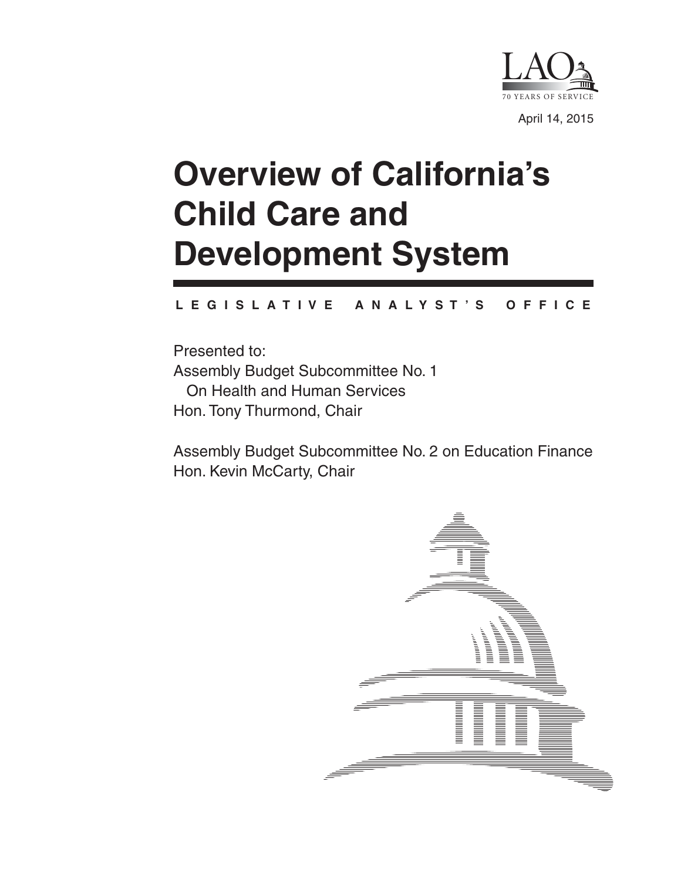

# **Overview of California's Child Care and Development System**

#### **L E G I S L A T I V E A N A L Y S T ' S O F F I C E**

Presented to: Assembly Budget Subcommittee No. 1 On Health and Human Services Hon. Tony Thurmond, Chair

Assembly Budget Subcommittee No. 2 on Education Finance Hon. Kevin McCarty, Chair

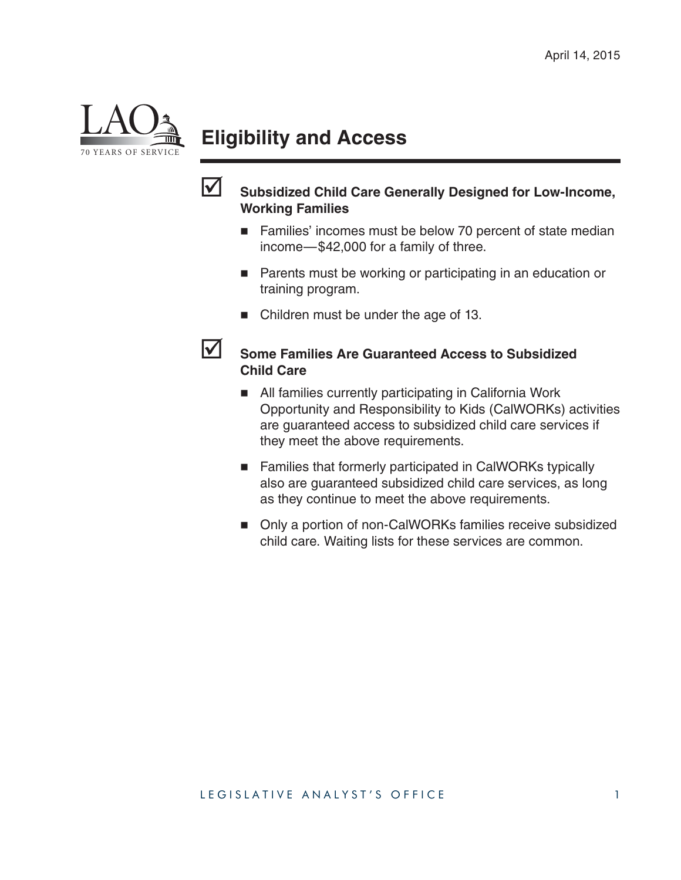

# **Eligibility and Access**



#### **Subsidized Child Care Generally Designed for Low-Income, Working Families**

- Families' incomes must be below 70 percent of state median income—\$42,000 for a family of three.
- **Parents must be working or participating in an education or** training program.
- Children must be under the age of 13.

#### **Some Families Are Guaranteed Access to Subsidized Child Care**

- All families currently participating in California Work Opportunity and Responsibility to Kids (CalWORKs) activities are guaranteed access to subsidized child care services if they meet the above requirements.
- Families that formerly participated in CalWORKs typically also are guaranteed subsidized child care services, as long as they continue to meet the above requirements.
- Only a portion of non-CalWORKs families receive subsidized child care. Waiting lists for these services are common.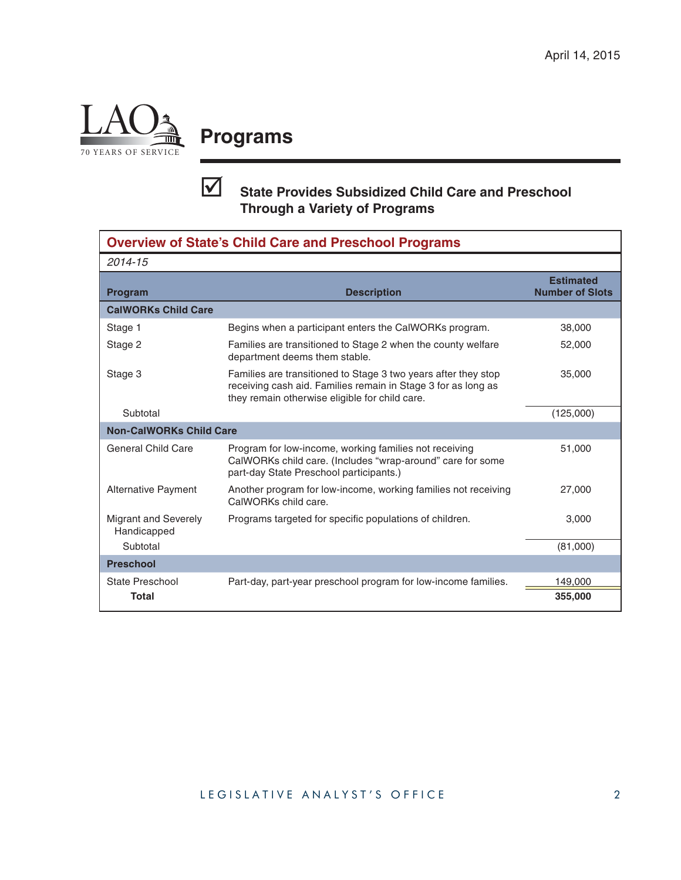

### **Programs**

### **State Provides Subsidized Child Care and Preschool Through a Variety of Programs**

| <b>Overview of State's Child Care and Preschool Programs</b> |                                                                                                                                                                                   |                                            |  |  |  |  |
|--------------------------------------------------------------|-----------------------------------------------------------------------------------------------------------------------------------------------------------------------------------|--------------------------------------------|--|--|--|--|
| 2014-15                                                      |                                                                                                                                                                                   |                                            |  |  |  |  |
| <b>Program</b>                                               | <b>Description</b>                                                                                                                                                                | <b>Estimated</b><br><b>Number of Slots</b> |  |  |  |  |
| <b>CalWORKs Child Care</b>                                   |                                                                                                                                                                                   |                                            |  |  |  |  |
| Stage 1                                                      | Begins when a participant enters the CalWORKs program.                                                                                                                            | 38,000                                     |  |  |  |  |
| Stage 2                                                      | Families are transitioned to Stage 2 when the county welfare<br>department deems them stable.                                                                                     | 52,000                                     |  |  |  |  |
| Stage 3                                                      | Families are transitioned to Stage 3 two years after they stop<br>receiving cash aid. Families remain in Stage 3 for as long as<br>they remain otherwise eligible for child care. | 35,000                                     |  |  |  |  |
| Subtotal                                                     |                                                                                                                                                                                   | (125,000)                                  |  |  |  |  |
| <b>Non-CalWORKs Child Care</b>                               |                                                                                                                                                                                   |                                            |  |  |  |  |
| <b>General Child Care</b>                                    | Program for low-income, working families not receiving<br>CalWORKs child care. (Includes "wrap-around" care for some<br>part-day State Preschool participants.)                   | 51,000                                     |  |  |  |  |
| Alternative Payment                                          | Another program for low-income, working families not receiving<br>CalWORKs child care.                                                                                            | 27,000                                     |  |  |  |  |
| <b>Migrant and Severely</b><br>Handicapped                   | Programs targeted for specific populations of children.                                                                                                                           | 3,000                                      |  |  |  |  |
| Subtotal                                                     |                                                                                                                                                                                   | (81,000)                                   |  |  |  |  |
| <b>Preschool</b>                                             |                                                                                                                                                                                   |                                            |  |  |  |  |
| <b>State Preschool</b>                                       | Part-day, part-year preschool program for low-income families.                                                                                                                    | 149,000                                    |  |  |  |  |
| <b>Total</b>                                                 |                                                                                                                                                                                   | 355,000                                    |  |  |  |  |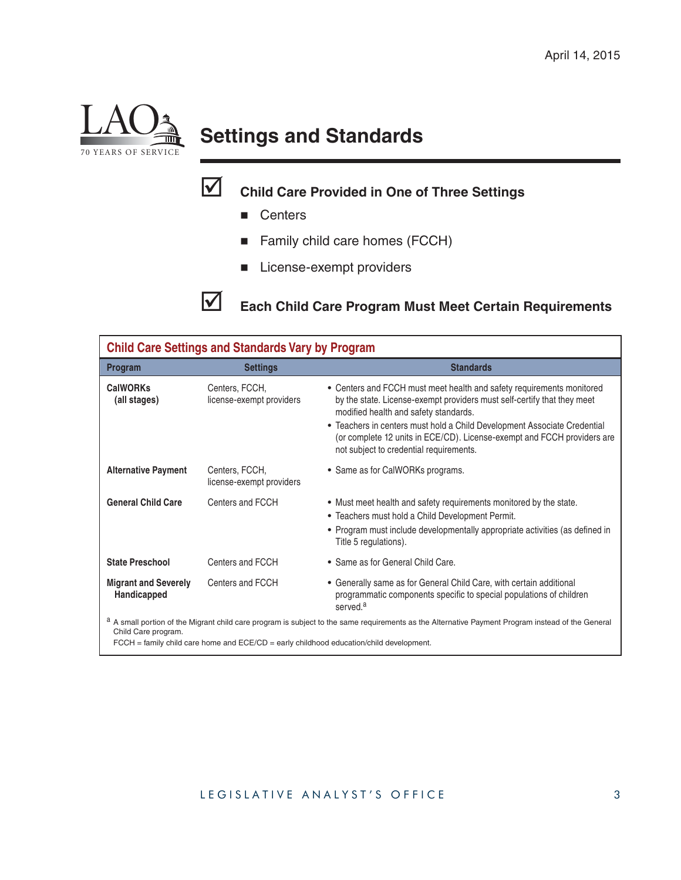

# **Settings and Standards**

### **Child Care Provided in One of Three Settings**

- **Centers**
- Family child care homes (FCCH)
- **License-exempt providers**

**Each Child Care Program Must Meet Certain Requirements**

| <b>Child Care Settings and Standards Vary by Program</b>                                                                                                                                   |                                            |                                                                                                                                                                                                                                 |  |  |  |  |
|--------------------------------------------------------------------------------------------------------------------------------------------------------------------------------------------|--------------------------------------------|---------------------------------------------------------------------------------------------------------------------------------------------------------------------------------------------------------------------------------|--|--|--|--|
| Program                                                                                                                                                                                    | <b>Settings</b>                            | <b>Standards</b>                                                                                                                                                                                                                |  |  |  |  |
| <b>CalWORKs</b><br>(all stages)                                                                                                                                                            | Centers, FCCH,<br>license-exempt providers | • Centers and FCCH must meet health and safety requirements monitored<br>by the state. License-exempt providers must self-certify that they meet<br>modified health and safety standards.                                       |  |  |  |  |
|                                                                                                                                                                                            |                                            | • Teachers in centers must hold a Child Development Associate Credential<br>(or complete 12 units in ECE/CD). License-exempt and FCCH providers are<br>not subject to credential requirements.                                  |  |  |  |  |
| <b>Alternative Payment</b>                                                                                                                                                                 | Centers, FCCH,<br>license-exempt providers | • Same as for CalWORKs programs.                                                                                                                                                                                                |  |  |  |  |
| <b>General Child Care</b>                                                                                                                                                                  | Centers and FCCH                           | • Must meet health and safety requirements monitored by the state.<br>• Teachers must hold a Child Development Permit.<br>• Program must include developmentally appropriate activities (as defined in<br>Title 5 regulations). |  |  |  |  |
| <b>State Preschool</b>                                                                                                                                                                     | Centers and FCCH                           | • Same as for General Child Care.                                                                                                                                                                                               |  |  |  |  |
| <b>Migrant and Severely</b><br>Handicapped                                                                                                                                                 | Centers and FCCH                           | • Generally same as for General Child Care, with certain additional<br>programmatic components specific to special populations of children<br>served. <sup>a</sup>                                                              |  |  |  |  |
| a A small portion of the Migrant child care program is subject to the same requirements as the Alternative Payment Program instead of the General<br>Child Care program.<br>$\blacksquare$ |                                            |                                                                                                                                                                                                                                 |  |  |  |  |

 $FCCH =$  family child care home and  $ECE/CD =$  early childhood education/child development.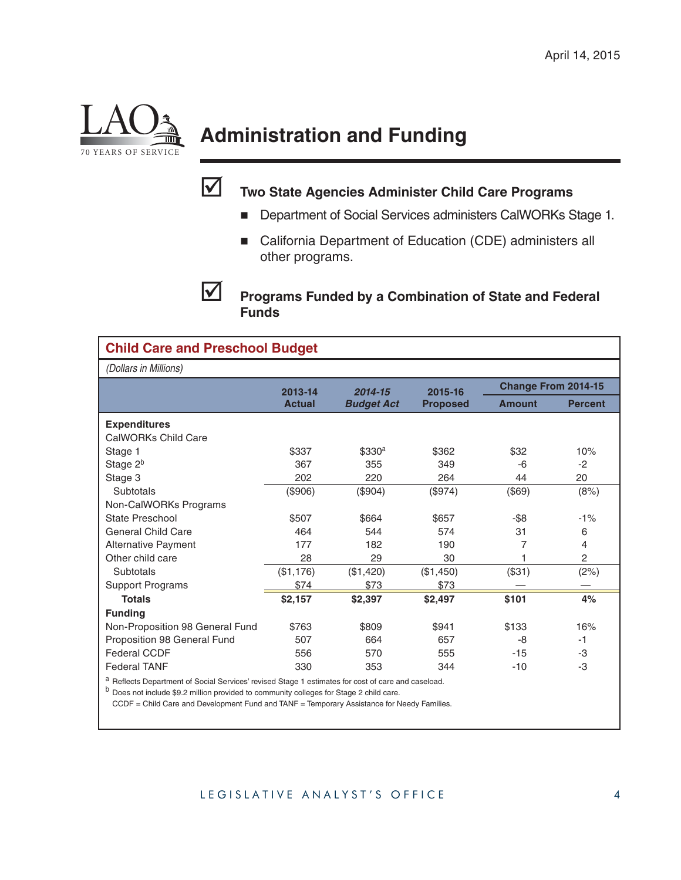

# **Administration and Funding**



### **Two State Agencies Administer Child Care Programs**

- **Department of Social Services administers CalWORKs Stage 1.**
- California Department of Education (CDE) administers all other programs.

**Programs Funded by a Combination of State and Federal Funds**

| <b>Child Care and Preschool Budget</b>                                                           |               |                    |                 |                            |                |  |  |
|--------------------------------------------------------------------------------------------------|---------------|--------------------|-----------------|----------------------------|----------------|--|--|
| (Dollars in Millions)                                                                            |               |                    |                 |                            |                |  |  |
|                                                                                                  | 2013-14       | 2014-15            | 2015-16         | <b>Change From 2014-15</b> |                |  |  |
|                                                                                                  | <b>Actual</b> | <b>Budget Act</b>  | <b>Proposed</b> | <b>Amount</b>              | <b>Percent</b> |  |  |
| <b>Expenditures</b>                                                                              |               |                    |                 |                            |                |  |  |
| CalWORKs Child Care                                                                              |               |                    |                 |                            |                |  |  |
| Stage 1                                                                                          | \$337         | \$330 <sup>a</sup> | \$362           | \$32                       | 10%            |  |  |
| Stage 2 <sup>b</sup>                                                                             | 367           | 355                | 349             | -6                         | $-2$           |  |  |
| Stage 3                                                                                          | 202           | 220                | 264             | 44                         | 20             |  |  |
| Subtotals                                                                                        | (\$906)       | (\$904)            | (\$974)         | (\$69)                     | (8%)           |  |  |
| Non-CalWORKs Programs                                                                            |               |                    |                 |                            |                |  |  |
| State Preschool                                                                                  | \$507         | \$664              | \$657           | -\$8                       | $-1%$          |  |  |
| <b>General Child Care</b>                                                                        | 464           | 544                | 574             | 31                         | 6              |  |  |
| <b>Alternative Payment</b>                                                                       | 177           | 182                | 190             | 7                          | 4              |  |  |
| Other child care                                                                                 | 28            | 29                 | 30              |                            | $\overline{c}$ |  |  |
| Subtotals                                                                                        | (\$1,176)     | (\$1,420)          | (\$1,450)       | (\$31)                     | (2%)           |  |  |
| <b>Support Programs</b>                                                                          | \$74          | \$73               | \$73            |                            |                |  |  |
| <b>Totals</b>                                                                                    | \$2,157       | \$2,397            | \$2,497         | \$101                      | 4%             |  |  |
| <b>Funding</b>                                                                                   |               |                    |                 |                            |                |  |  |
| Non-Proposition 98 General Fund                                                                  | \$763         | \$809              | \$941           | \$133                      | 16%            |  |  |
| Proposition 98 General Fund                                                                      | 507           | 664                | 657             | -8                         | $-1$           |  |  |
| <b>Federal CCDF</b>                                                                              | 556           | 570                | 555             | $-15$                      | -3             |  |  |
| <b>Federal TANF</b>                                                                              | 330           | 353                | 344             | $-10$                      | -3             |  |  |
| Reflects Department of Social Services' revised Stage 1 estimates for cost of care and caseload. |               |                    |                 |                            |                |  |  |

<sup>b</sup> Does not include \$9.2 million provided to community colleges for Stage 2 child care.

CCDF = Child Care and Development Fund and TANF = Temporary Assistance for Needy Families.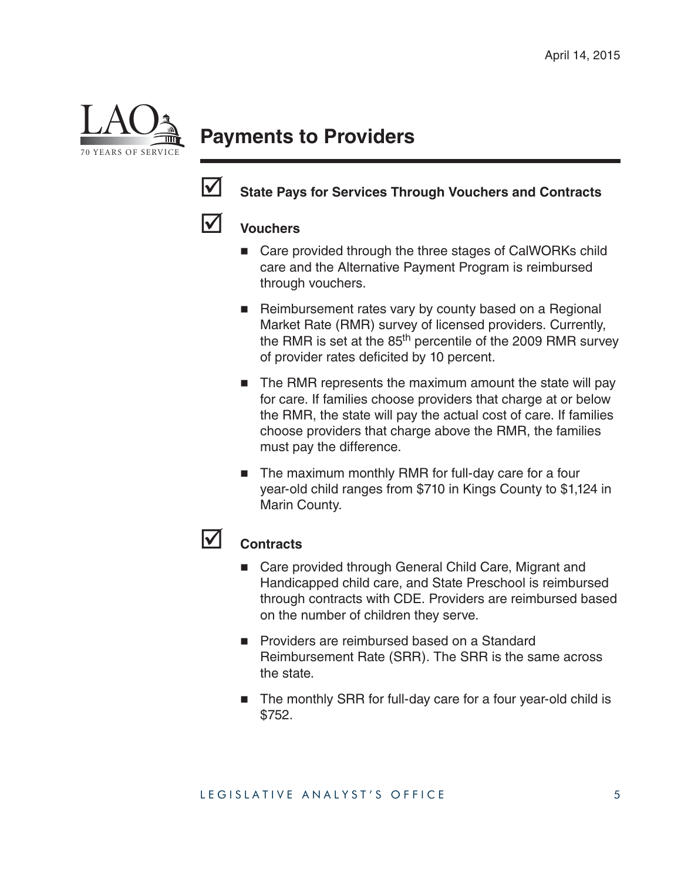

### **Payments to Providers**



#### State Pays for Services Through Vouchers and Contracts

#### **Vouchers**

- Care provided through the three stages of CalWORKs child care and the Alternative Payment Program is reimbursed through vouchers.
- Reimbursement rates vary by county based on a Regional Market Rate (RMR) survey of licensed providers. Currently, the RMR is set at the  $85<sup>th</sup>$  percentile of the 2009 RMR survey of provider rates deficited by 10 percent.
- The RMR represents the maximum amount the state will pay for care. If families choose providers that charge at or below the RMR, the state will pay the actual cost of care. If families choose providers that charge above the RMR, the families must pay the difference.
- The maximum monthly RMR for full-day care for a four year-old child ranges from \$710 in Kings County to \$1,124 in Marin County.

#### **Contracts**

- Care provided through General Child Care, Migrant and Handicapped child care, and State Preschool is reimbursed through contracts with CDE. Providers are reimbursed based on the number of children they serve.
- **Providers are reimbursed based on a Standard** Reimbursement Rate (SRR). The SRR is the same across the state.
- The monthly SRR for full-day care for a four year-old child is \$752.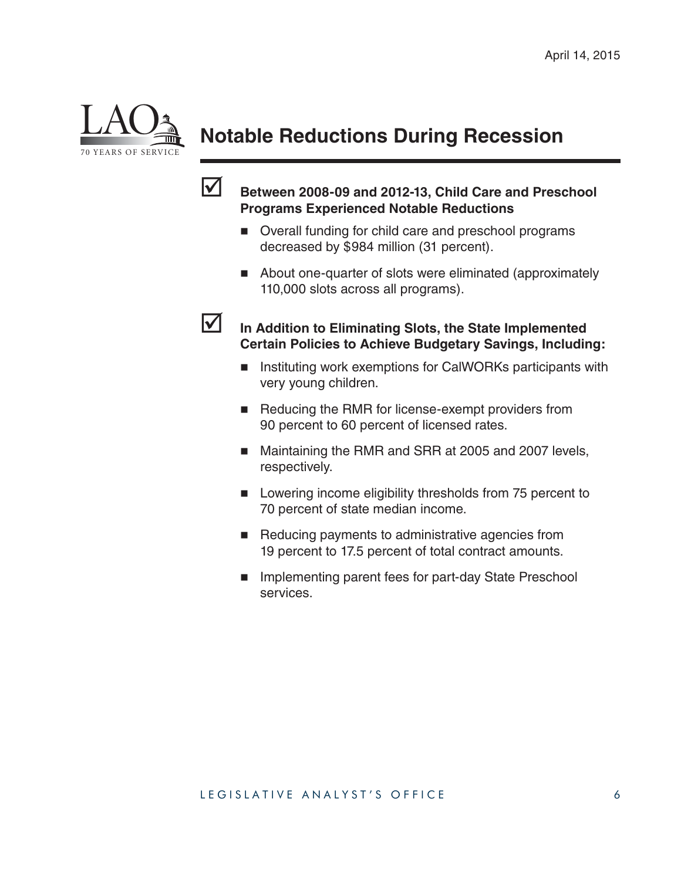

### **Notable Reductions During Recession**



#### **Between 2008-09 and 2012-13, Child Care and Preschool Programs Experienced Notable Reductions**

- Overall funding for child care and preschool programs decreased by \$984 million (31 percent).
- About one-quarter of slots were eliminated (approximately 110,000 slots across all programs).



- In Addition to Eliminating Slots, the State Implemented **Certain Policies to Achieve Budgetary Savings, Including:** 
	- Instituting work exemptions for CalWORKs participants with very young children.
	- Reducing the RMR for license-exempt providers from 90 percent to 60 percent of licensed rates.
	- Maintaining the RMR and SRR at 2005 and 2007 levels, respectively.
	- **Lowering income eligibility thresholds from 75 percent to** 70 percent of state median income.
	- Reducing payments to administrative agencies from 19 percent to 17.5 percent of total contract amounts.
	- **Implementing parent fees for part-day State Preschool** services.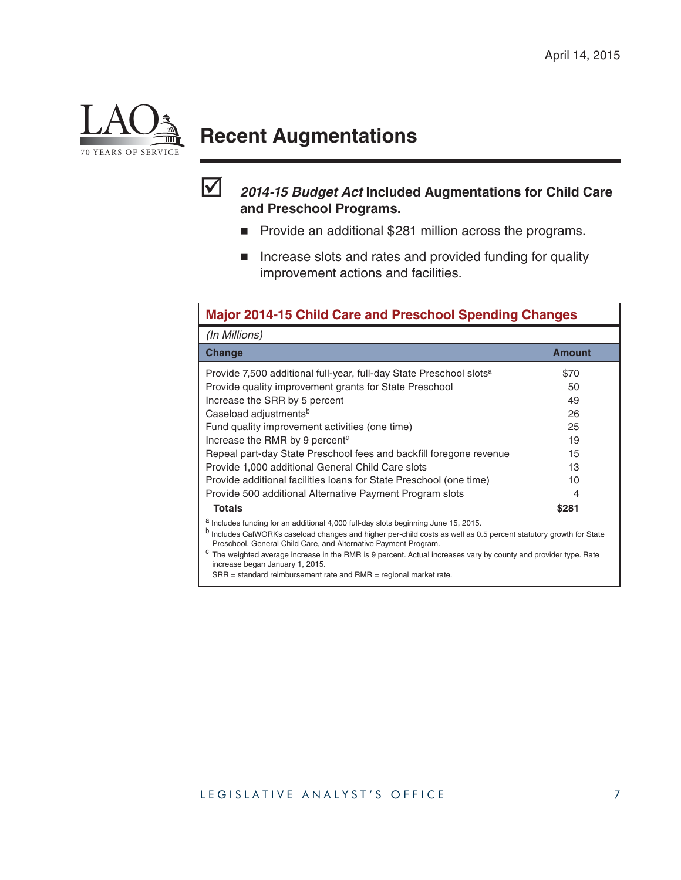

### **Recent Augmentations**



#### *2014-15 Budget Act* **Included Augmentations for Child Care and Preschool Programs.**

- **Provide an additional \$281 million across the programs.**
- **Increase slots and rates and provided funding for quality** improvement actions and facilities.

| <b>Major 2014-15 Child Care and Preschool Spending Changes</b>                                                                                                                                                                                                                                                                                                                                                                                |               |  |  |  |
|-----------------------------------------------------------------------------------------------------------------------------------------------------------------------------------------------------------------------------------------------------------------------------------------------------------------------------------------------------------------------------------------------------------------------------------------------|---------------|--|--|--|
| (In Millions)                                                                                                                                                                                                                                                                                                                                                                                                                                 |               |  |  |  |
| Change                                                                                                                                                                                                                                                                                                                                                                                                                                        | <b>Amount</b> |  |  |  |
| Provide 7,500 additional full-year, full-day State Preschool slots <sup>a</sup>                                                                                                                                                                                                                                                                                                                                                               | \$70          |  |  |  |
| Provide quality improvement grants for State Preschool                                                                                                                                                                                                                                                                                                                                                                                        | 50            |  |  |  |
| Increase the SRR by 5 percent                                                                                                                                                                                                                                                                                                                                                                                                                 | 49            |  |  |  |
| Caseload adjustments <sup>b</sup>                                                                                                                                                                                                                                                                                                                                                                                                             | 26            |  |  |  |
| Fund quality improvement activities (one time)                                                                                                                                                                                                                                                                                                                                                                                                | 25            |  |  |  |
| Increase the RMR by 9 percent <sup>c</sup>                                                                                                                                                                                                                                                                                                                                                                                                    | 19            |  |  |  |
| Repeal part-day State Preschool fees and backfill foregone revenue                                                                                                                                                                                                                                                                                                                                                                            | 15            |  |  |  |
| Provide 1,000 additional General Child Care slots                                                                                                                                                                                                                                                                                                                                                                                             | 13            |  |  |  |
| Provide additional facilities loans for State Preschool (one time)                                                                                                                                                                                                                                                                                                                                                                            | 10            |  |  |  |
| Provide 500 additional Alternative Payment Program slots                                                                                                                                                                                                                                                                                                                                                                                      | 4             |  |  |  |
| <b>Totals</b>                                                                                                                                                                                                                                                                                                                                                                                                                                 | \$281         |  |  |  |
| <sup>a</sup> Includes funding for an additional 4,000 full-day slots beginning June 15, 2015.<br>b<br>Includes CalWORKs caseload changes and higher per-child costs as well as 0.5 percent statutory growth for State<br>Preschool, General Child Care, and Alternative Payment Program.<br>The weighted average increase in the RMR is 9 percent. Actual increases vary by county and provider type. Rate<br>increase began January 1, 2015. |               |  |  |  |
| $SRR$ = standard reimbursement rate and $RMR$ = regional market rate.                                                                                                                                                                                                                                                                                                                                                                         |               |  |  |  |